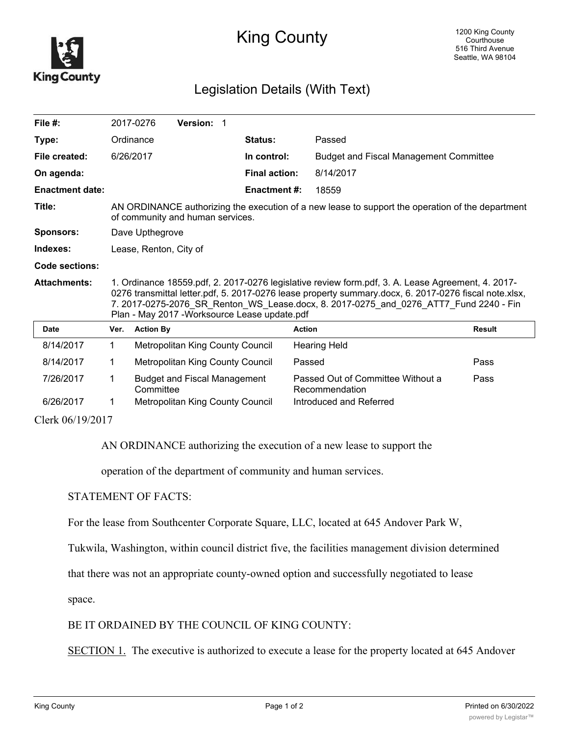

## King County

## Legislation Details (With Text)

| File $#$ :             |                                                                                                                                                                                                                                                                                                                                                      | 2017-0276        | <b>Version: 1</b>                   |  |                      |                                                     |               |
|------------------------|------------------------------------------------------------------------------------------------------------------------------------------------------------------------------------------------------------------------------------------------------------------------------------------------------------------------------------------------------|------------------|-------------------------------------|--|----------------------|-----------------------------------------------------|---------------|
| Type:                  |                                                                                                                                                                                                                                                                                                                                                      | Ordinance        |                                     |  | Status:              | Passed                                              |               |
| File created:          | 6/26/2017                                                                                                                                                                                                                                                                                                                                            |                  |                                     |  | In control:          | <b>Budget and Fiscal Management Committee</b>       |               |
| On agenda:             |                                                                                                                                                                                                                                                                                                                                                      |                  |                                     |  | <b>Final action:</b> | 8/14/2017                                           |               |
| <b>Enactment date:</b> |                                                                                                                                                                                                                                                                                                                                                      |                  |                                     |  | <b>Enactment #:</b>  | 18559                                               |               |
| Title:                 | AN ORDINANCE authorizing the execution of a new lease to support the operation of the department<br>of community and human services.                                                                                                                                                                                                                 |                  |                                     |  |                      |                                                     |               |
| <b>Sponsors:</b>       | Dave Upthegrove                                                                                                                                                                                                                                                                                                                                      |                  |                                     |  |                      |                                                     |               |
| Indexes:               | Lease, Renton, City of                                                                                                                                                                                                                                                                                                                               |                  |                                     |  |                      |                                                     |               |
| <b>Code sections:</b>  |                                                                                                                                                                                                                                                                                                                                                      |                  |                                     |  |                      |                                                     |               |
| <b>Attachments:</b>    | 1. Ordinance 18559.pdf, 2. 2017-0276 legislative review form.pdf, 3. A. Lease Agreement, 4. 2017-<br>0276 transmittal letter.pdf, 5. 2017-0276 lease property summary.docx, 6. 2017-0276 fiscal note.xlsx,<br>7. 2017-0275-2076 SR Renton WS Lease.docx, 8. 2017-0275 and 0276 ATT7 Fund 2240 - Fin<br>Plan - May 2017 - Worksource Lease update.pdf |                  |                                     |  |                      |                                                     |               |
|                        |                                                                                                                                                                                                                                                                                                                                                      |                  |                                     |  |                      |                                                     |               |
| <b>Date</b>            | Ver.                                                                                                                                                                                                                                                                                                                                                 | <b>Action By</b> |                                     |  |                      | <b>Action</b>                                       | <b>Result</b> |
| 8/14/2017              | $\mathbf 1$                                                                                                                                                                                                                                                                                                                                          |                  | Metropolitan King County Council    |  |                      | <b>Hearing Held</b>                                 |               |
| 8/14/2017              | 1.                                                                                                                                                                                                                                                                                                                                                   |                  | Metropolitan King County Council    |  |                      | Passed                                              | Pass          |
| 7/26/2017              | 1                                                                                                                                                                                                                                                                                                                                                    | Committee        | <b>Budget and Fiscal Management</b> |  |                      | Passed Out of Committee Without a<br>Recommendation | Pass          |
| 6/26/2017              |                                                                                                                                                                                                                                                                                                                                                      |                  | Metropolitan King County Council    |  |                      | Introduced and Referred                             |               |

AN ORDINANCE authorizing the execution of a new lease to support the

operation of the department of community and human services.

## STATEMENT OF FACTS:

For the lease from Southcenter Corporate Square, LLC, located at 645 Andover Park W,

Tukwila, Washington, within council district five, the facilities management division determined

that there was not an appropriate county-owned option and successfully negotiated to lease

space.

## BE IT ORDAINED BY THE COUNCIL OF KING COUNTY:

SECTION 1. The executive is authorized to execute a lease for the property located at 645 Andover